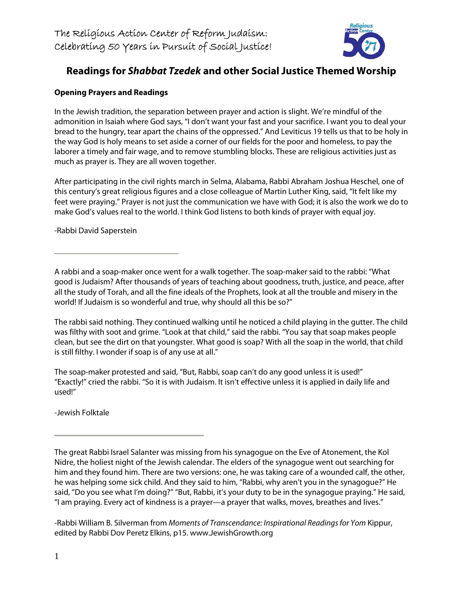

# **Readings for Shabbat Tzedek and other Social Justice Themed Worship**

## **Opening Prayers and Readings**

In the Jewish tradition, the separation between prayer and action is slight. We're mindful of the admonition in Isaiah where God says, "I don't want your fast and your sacrifice. I want you to deal your bread to the hungry, tear apart the chains of the oppressed." And Leviticus 19 tells us that to be holy in the way God is holy means to set aside a corner of our fields for the poor and homeless, to pay the laborer a timely and fair wage, and to remove stumbling blocks. These are religious activities just as much as prayer is. They are all woven together.

After participating in the civil rights march in Selma, Alabama, Rabbi Abraham Joshua Heschel, one of this century's great religious figures and a close colleague of Martin Luther King, said, "It felt like my feet were praying." Prayer is not just the communication we have with God; it is also the work we do to make God's values real to the world. I think God listens to both kinds of prayer with equal joy.

-Rabbi David Saperstein

A rabbi and a soap-maker once went for a walk together. The soap-maker said to the rabbi: "What good is Judaism? After thousands of years of teaching about goodness, truth, justice, and peace, after all the study of Torah, and all the fine ideals of the Prophets, look at all the trouble and misery in the world! If Judaism is so wonderful and true, why should all this be so?"

The rabbi said nothing. They continued walking until he noticed a child playing in the gutter. The child was filthy with soot and grime. "Look at that child," said the rabbi. "You say that soap makes people clean, but see the dirt on that youngster. What good is soap? With all the soap in the world, that child is still filthy. I wonder if soap is of any use at all."

The soap-maker protested and said, "But, Rabbi, soap can't do any good unless it is used!" "Exactly!" cried the rabbi. "So it is with Judaism. It isn't effective unless it is applied in daily life and used!"

-Jewish Folktale

The great Rabbi Israel Salanter was missing from his synagogue on the Eve of Atonement, the Kol Nidre, the holiest night of the Jewish calendar. The elders of the synagogue went out searching for him and they found him. There are two versions: one, he was taking care of a wounded calf, the other, he was helping some sick child. And they said to him, "Rabbi, why aren't you in the synagogue?" He said, "Do you see what I'm doing?" "But, Rabbi, it's your duty to be in the synagogue praying." He said, "I am praying. Every act of kindness is a prayer—a prayer that walks, moves, breathes and lives."

-Rabbi William B. Silverman from Moments of Transcendance: Inspirational Readings for Yom Kippur, edited by Rabbi Dov Peretz Elkins, p15. www.JewishGrowth.org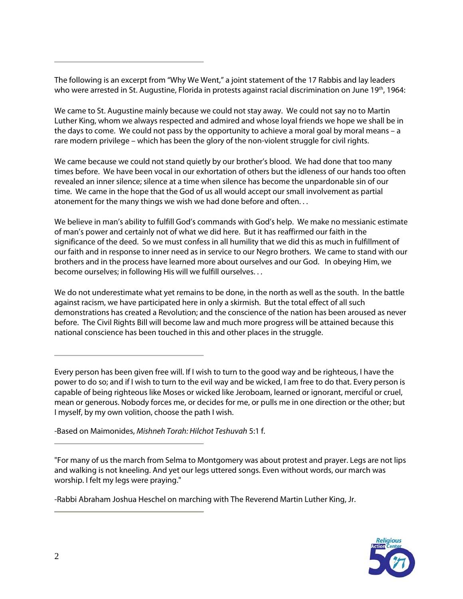The following is an excerpt from "Why We Went," a joint statement of the 17 Rabbis and lay leaders who were arrested in St. Augustine, Florida in protests against racial discrimination on June 19<sup>th</sup>, 1964:

We came to St. Augustine mainly because we could not stay away. We could not say no to Martin Luther King, whom we always respected and admired and whose loyal friends we hope we shall be in the days to come. We could not pass by the opportunity to achieve a moral goal by moral means – a rare modern privilege – which has been the glory of the non-violent struggle for civil rights.

We came because we could not stand quietly by our brother's blood. We had done that too many times before. We have been vocal in our exhortation of others but the idleness of our hands too often revealed an inner silence; silence at a time when silence has become the unpardonable sin of our time. We came in the hope that the God of us all would accept our small involvement as partial atonement for the many things we wish we had done before and often. . .

We believe in man's ability to fulfill God's commands with God's help. We make no messianic estimate of man's power and certainly not of what we did here. But it has reaffirmed our faith in the significance of the deed. So we must confess in all humility that we did this as much in fulfillment of our faith and in response to inner need as in service to our Negro brothers. We came to stand with our brothers and in the process have learned more about ourselves and our God. In obeying Him, we become ourselves; in following His will we fulfill ourselves. . .

We do not underestimate what yet remains to be done, in the north as well as the south. In the battle against racism, we have participated here in only a skirmish. But the total effect of all such demonstrations has created a Revolution; and the conscience of the nation has been aroused as never before. The Civil Rights Bill will become law and much more progress will be attained because this national conscience has been touched in this and other places in the struggle.

Every person has been given free will. If I wish to turn to the good way and be righteous, I have the power to do so; and if I wish to turn to the evil way and be wicked, I am free to do that. Every person is capable of being righteous like Moses or wicked like Jeroboam, learned or ignorant, merciful or cruel, mean or generous. Nobody forces me, or decides for me, or pulls me in one direction or the other; but I myself, by my own volition, choose the path I wish.

-Based on Maimonides, Mishneh Torah: Hilchot Teshuvah 5:1 f.

"For many of us the march from Selma to Montgomery was about protest and prayer. Legs are not lips and walking is not kneeling. And yet our legs uttered songs. Even without words, our march was worship. I felt my legs were praying."

-Rabbi Abraham Joshua Heschel on marching with The Reverend Martin Luther King, Jr.

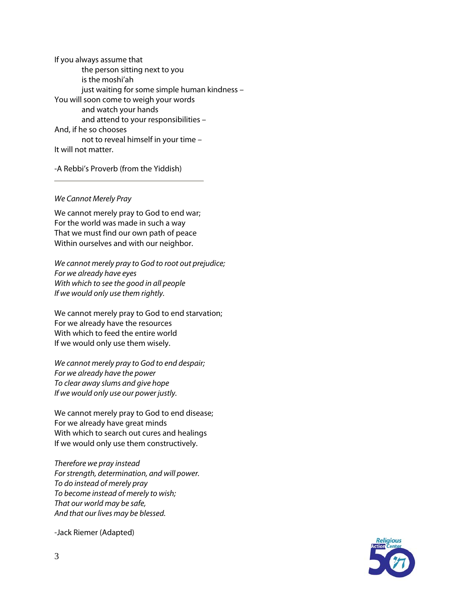If you always assume that the person sitting next to you is the moshi'ah just waiting for some simple human kindness – You will soon come to weigh your words and watch your hands and attend to your responsibilities – And, if he so chooses not to reveal himself in your time – It will not matter.

-A Rebbi's Proverb (from the Yiddish)

#### We Cannot Merely Pray

We cannot merely pray to God to end war; For the world was made in such a way That we must find our own path of peace Within ourselves and with our neighbor.

We cannot merely pray to God to root out prejudice; For we already have eyes With which to see the good in all people If we would only use them rightly.

We cannot merely pray to God to end starvation; For we already have the resources With which to feed the entire world If we would only use them wisely.

We cannot merely pray to God to end despair; For we already have the power To clear away slums and give hope If we would only use our power justly.

We cannot merely pray to God to end disease; For we already have great minds With which to search out cures and healings If we would only use them constructively.

Therefore we pray instead For strength, determination, and will power. To do instead of merely pray To become instead of merely to wish; That our world may be safe, And that our lives may be blessed.

-Jack Riemer (Adapted)

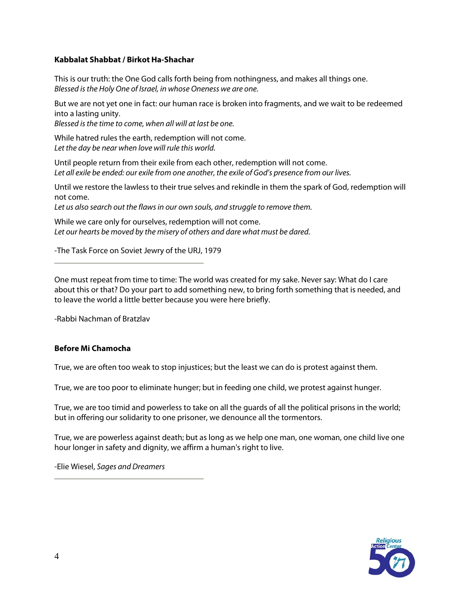#### **Kabbalat Shabbat / Birkot Ha-Shachar**

This is our truth: the One God calls forth being from nothingness, and makes all things one. Blessed is the Holy One of Israel, in whose Oneness we are one.

But we are not yet one in fact: our human race is broken into fragments, and we wait to be redeemed into a lasting unity.

Blessed is the time to come, when all will at last be one.

While hatred rules the earth, redemption will not come. Let the day be near when love will rule this world.

Until people return from their exile from each other, redemption will not come. Let all exile be ended: our exile from one another, the exile of God's presence from our lives.

Until we restore the lawless to their true selves and rekindle in them the spark of God, redemption will not come.

Let us also search out the flaws in our own souls, and struggle to remove them.

While we care only for ourselves, redemption will not come. Let our hearts be moved by the misery of others and dare what must be dared.

-The Task Force on Soviet Jewry of the URJ, 1979

One must repeat from time to time: The world was created for my sake. Never say: What do I care about this or that? Do your part to add something new, to bring forth something that is needed, and to leave the world a little better because you were here briefly.

-Rabbi Nachman of Bratzlav

#### **Before Mi Chamocha**

True, we are often too weak to stop injustices; but the least we can do is protest against them.

True, we are too poor to eliminate hunger; but in feeding one child, we protest against hunger.

True, we are too timid and powerless to take on all the guards of all the political prisons in the world; but in offering our solidarity to one prisoner, we denounce all the tormentors.

True, we are powerless against death; but as long as we help one man, one woman, one child live one hour longer in safety and dignity, we affirm a human's right to live.

-Elie Wiesel, Sages and Dreamers

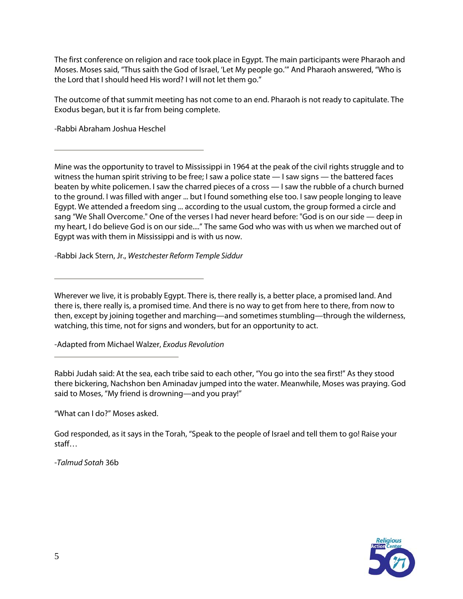The first conference on religion and race took place in Egypt. The main participants were Pharaoh and Moses. Moses said, "Thus saith the God of Israel, 'Let My people go.'" And Pharaoh answered, "Who is the Lord that I should heed His word? I will not let them go."

The outcome of that summit meeting has not come to an end. Pharaoh is not ready to capitulate. The Exodus began, but it is far from being complete.

-Rabbi Abraham Joshua Heschel

Mine was the opportunity to travel to Mississippi in 1964 at the peak of the civil rights struggle and to witness the human spirit striving to be free; I saw a police state — I saw signs — the battered faces beaten by white policemen. I saw the charred pieces of a cross — I saw the rubble of a church burned to the ground. I was filled with anger ... but I found something else too. I saw people longing to leave Egypt. We attended a freedom sing ... according to the usual custom, the group formed a circle and sang "We Shall Overcome." One of the verses I had never heard before: "God is on our side — deep in my heart, I do believe God is on our side...." The same God who was with us when we marched out of Egypt was with them in Mississippi and is with us now.

-Rabbi Jack Stern, Jr., Westchester Reform Temple Siddur

Wherever we live, it is probably Egypt. There is, there really is, a better place, a promised land. And there is, there really is, a promised time. And there is no way to get from here to there, from now to then, except by joining together and marching—and sometimes stumbling—through the wilderness, watching, this time, not for signs and wonders, but for an opportunity to act.

-Adapted from Michael Walzer, Exodus Revolution

Rabbi Judah said: At the sea, each tribe said to each other, "You go into the sea first!" As they stood there bickering, Nachshon ben Aminadav jumped into the water. Meanwhile, Moses was praying. God said to Moses, "My friend is drowning—and you pray!"

"What can I do?" Moses asked.

God responded, as it says in the Torah, "Speak to the people of Israel and tell them to go! Raise your staff…

-Talmud Sotah 36b

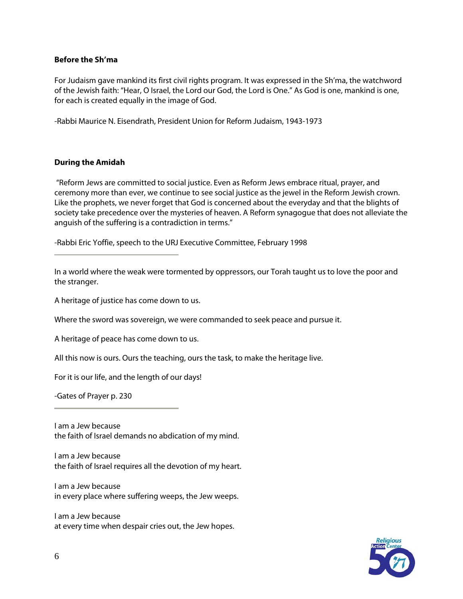### **Before the Sh'ma**

For Judaism gave mankind its first civil rights program. It was expressed in the Sh'ma, the watchword of the Jewish faith: "Hear, O Israel, the Lord our God, the Lord is One." As God is one, mankind is one, for each is created equally in the image of God.

-Rabbi Maurice N. Eisendrath, President Union for Reform Judaism, 1943-1973

### **During the Amidah**

 "Reform Jews are committed to social justice. Even as Reform Jews embrace ritual, prayer, and ceremony more than ever, we continue to see social justice as the jewel in the Reform Jewish crown. Like the prophets, we never forget that God is concerned about the everyday and that the blights of society take precedence over the mysteries of heaven. A Reform synagogue that does not alleviate the anguish of the suffering is a contradiction in terms."

-Rabbi Eric Yoffie, speech to the URJ Executive Committee, February 1998

In a world where the weak were tormented by oppressors, our Torah taught us to love the poor and the stranger.

A heritage of justice has come down to us.

Where the sword was sovereign, we were commanded to seek peace and pursue it.

A heritage of peace has come down to us.

All this now is ours. Ours the teaching, ours the task, to make the heritage live.

For it is our life, and the length of our days!

-Gates of Prayer p. 230

I am a Jew because the faith of Israel demands no abdication of my mind.

I am a Jew because the faith of Israel requires all the devotion of my heart.

I am a Jew because in every place where suffering weeps, the Jew weeps.

I am a Jew because at every time when despair cries out, the Jew hopes.

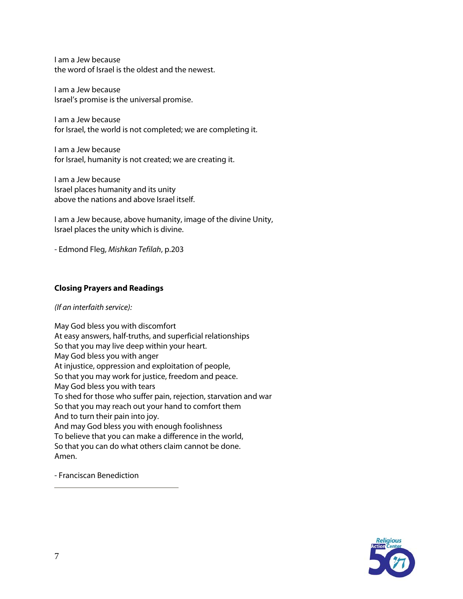I am a Jew because the word of Israel is the oldest and the newest.

I am a Jew because Israel's promise is the universal promise.

I am a Jew because for Israel, the world is not completed; we are completing it.

I am a Jew because for Israel, humanity is not created; we are creating it.

I am a Jew because Israel places humanity and its unity above the nations and above Israel itself.

I am a Jew because, above humanity, image of the divine Unity, Israel places the unity which is divine.

- Edmond Fleg, Mishkan Tefilah, p.203

## **Closing Prayers and Readings**

#### (If an interfaith service):

May God bless you with discomfort At easy answers, half-truths, and superficial relationships So that you may live deep within your heart. May God bless you with anger At injustice, oppression and exploitation of people, So that you may work for justice, freedom and peace. May God bless you with tears To shed for those who suffer pain, rejection, starvation and war So that you may reach out your hand to comfort them And to turn their pain into joy. And may God bless you with enough foolishness To believe that you can make a difference in the world, So that you can do what others claim cannot be done. Amen.

- Franciscan Benediction